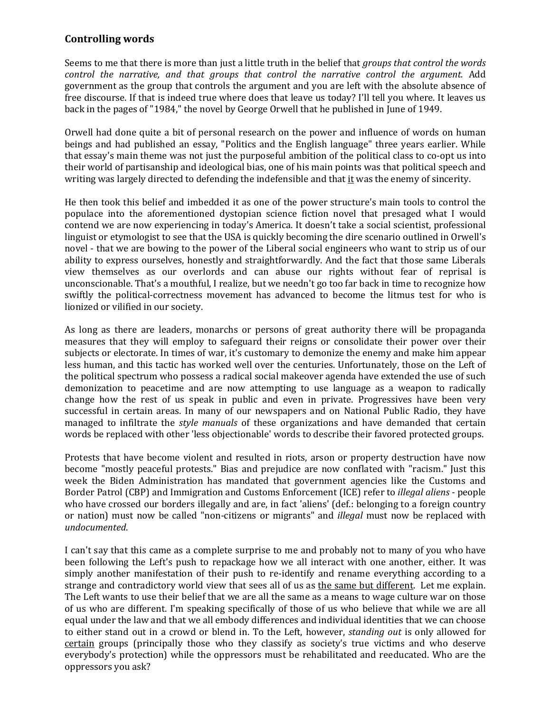## **Controlling words**

Seems to me that there is more than just a little truth in the belief that *groups that control the words control the narrative, and that groups that control the narrative control the argument.* Add government as the group that controls the argument and you are left with the absolute absence of free discourse. If that is indeed true where does that leave us today? I'll tell you where. It leaves us back in the pages of "1984," the novel by George Orwell that he published in June of 1949.

Orwell had done quite a bit of personal research on the power and influence of words on human beings and had published an essay, "Politics and the English language" three years earlier. While that essay's main theme was not just the purposeful ambition of the political class to co-opt us into their world of partisanship and ideological bias, one of his main points was that political speech and writing was largely directed to defending the indefensible and that it was the enemy of sincerity.

He then took this belief and imbedded it as one of the power structure's main tools to control the populace into the aforementioned dystopian science fiction novel that presaged what I would contend we are now experiencing in today's America. It doesn't take a social scientist, professional linguist or etymologist to see that the USA is quickly becoming the dire scenario outlined in Orwell's novel - that we are bowing to the power of the Liberal social engineers who want to strip us of our ability to express ourselves, honestly and straightforwardly. And the fact that those same Liberals view themselves as our overlords and can abuse our rights without fear of reprisal is unconscionable. That's a mouthful, I realize, but we needn't go too far back in time to recognize how swiftly the political-correctness movement has advanced to become the litmus test for who is lionized or vilified in our society.

As long as there are leaders, monarchs or persons of great authority there will be propaganda measures that they will employ to safeguard their reigns or consolidate their power over their subjects or electorate. In times of war, it's customary to demonize the enemy and make him appear less human, and this tactic has worked well over the centuries. Unfortunately, those on the Left of the political spectrum who possess a radical social makeover agenda have extended the use of such demonization to peacetime and are now attempting to use language as a weapon to radically change how the rest of us speak in public and even in private. Progressives have been very successful in certain areas. In many of our newspapers and on National Public Radio, they have managed to infiltrate the *style manuals* of these organizations and have demanded that certain words be replaced with other 'less objectionable' words to describe their favored protected groups.

Protests that have become violent and resulted in riots, arson or property destruction have now become "mostly peaceful protests." Bias and prejudice are now conflated with "racism." Just this week the Biden Administration has mandated that government agencies like the Customs and Border Patrol (CBP) and Immigration and Customs Enforcement (ICE) refer to *illegal aliens* - people who have crossed our borders illegally and are, in fact 'aliens' (def.: belonging to a foreign country or nation) must now be called "non-citizens or migrants" and *illegal* must now be replaced with *undocumented*.

I can't say that this came as a complete surprise to me and probably not to many of you who have been following the Left's push to repackage how we all interact with one another, either. It was simply another manifestation of their push to re-identify and rename everything according to a strange and contradictory world view that sees all of us as the same but different. Let me explain. The Left wants to use their belief that we are all the same as a means to wage culture war on those of us who are different. I'm speaking specifically of those of us who believe that while we are all equal under the law and that we all embody differences and individual identities that we can choose to either stand out in a crowd or blend in. To the Left, however, *standing out* is only allowed for certain groups (principally those who they classify as society's true victims and who deserve everybody's protection) while the oppressors must be rehabilitated and reeducated. Who are the oppressors you ask?